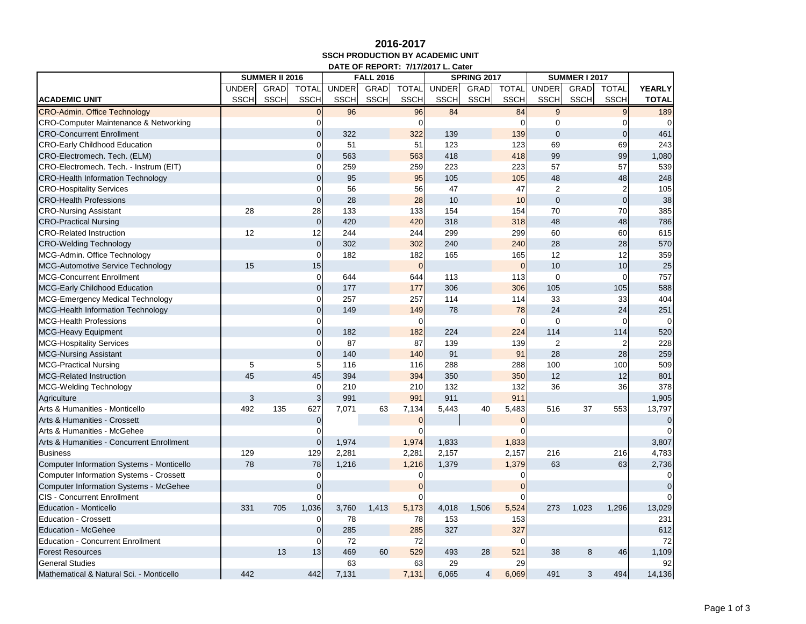## **2016-2017 SSCH PRODUCTION BY ACADEMIC UNIT DATE OF REPORT: 7/17/2017 L. Cater**

|                                                  |              | <b>SUMMER II 2016</b><br><b>FALL 2016</b><br><b>SPRING 2017</b> |                |              |             | <b>SUMMER I 2017</b> |              |                |              |                |             |                |                |
|--------------------------------------------------|--------------|-----------------------------------------------------------------|----------------|--------------|-------------|----------------------|--------------|----------------|--------------|----------------|-------------|----------------|----------------|
|                                                  | <b>UNDER</b> | GRAD                                                            | <b>TOTAL</b>   | <b>UNDER</b> | GRAD        | <b>TOTAL</b>         | <b>UNDER</b> | GRAD           | <b>TOTAL</b> | <b>UNDER</b>   | <b>GRAD</b> | <b>TOTAL</b>   | <b>YEARLY</b>  |
| <b>ACADEMIC UNIT</b>                             | <b>SSCH</b>  | <b>SSCH</b>                                                     | <b>SSCH</b>    | <b>SSCH</b>  | <b>SSCH</b> | <b>SSCH</b>          | <b>SSCH</b>  | <b>SSCH</b>    | <b>SSCH</b>  | <b>SSCH</b>    | <b>SSCH</b> | <b>SSCH</b>    | <b>TOTAL</b>   |
| <b>CRO-Admin. Office Technology</b>              |              |                                                                 | $\Omega$       | 96           |             | 96                   | 84           |                | 84           | 9              |             | 9              | 189            |
| <b>CRO-Computer Maintenance &amp; Networking</b> |              |                                                                 | $\Omega$       |              |             | $\Omega$             |              |                | 0            | $\Omega$       |             | $\Omega$       | $\Omega$       |
| <b>CRO-Concurrent Enrollment</b>                 |              |                                                                 | $\overline{0}$ | 322          |             | 322                  | 139          |                | 139          | $\overline{0}$ |             | $\mathbf{0}$   | 461            |
| <b>CRO-Early Childhood Education</b>             |              |                                                                 | $\mathbf 0$    | 51           |             | 51                   | 123          |                | 123          | 69             |             | 69             | 243            |
| CRO-Electromech. Tech. (ELM)                     |              |                                                                 | $\overline{0}$ | 563          |             | 563                  | 418          |                | 418          | 99             |             | 99             | 1,080          |
| CRO-Electromech. Tech. - Instrum (EIT)           |              |                                                                 | $\mathbf 0$    | 259          |             | 259                  | 223          |                | 223          | 57             |             | 57             | 539            |
| <b>CRO-Health Information Technology</b>         |              |                                                                 | $\overline{0}$ | 95           |             | 95                   | 105          |                | 105          | 48             |             | 48             | 248            |
| <b>CRO-Hospitality Services</b>                  |              |                                                                 | $\overline{0}$ | 56           |             | 56                   | 47           |                | 47           | $\overline{2}$ |             | $\overline{2}$ | 105            |
| <b>CRO-Health Professions</b>                    |              |                                                                 | $\overline{0}$ | 28           |             | 28                   | 10           |                | 10           | $\mathbf 0$    |             | $\overline{0}$ | 38             |
| <b>CRO-Nursing Assistant</b>                     | 28           |                                                                 | 28             | 133          |             | 133                  | 154          |                | 154          | 70             |             | 70             | 385            |
| <b>CRO-Practical Nursing</b>                     |              |                                                                 | $\overline{0}$ | 420          |             | 420                  | 318          |                | 318          | 48             |             | 48             | 786            |
| <b>CRO-Related Instruction</b>                   | 12           |                                                                 | 12             | 244          |             | 244                  | 299          |                | 299          | 60             |             | 60             | 615            |
| <b>CRO-Welding Technology</b>                    |              |                                                                 | $\mathbf 0$    | 302          |             | 302                  | 240          |                | 240          | 28             |             | 28             | 570            |
| MCG-Admin. Office Technology                     |              |                                                                 | $\mathbf 0$    | 182          |             | 182                  | 165          |                | 165          | 12             |             | 12             | 359            |
| <b>MCG-Automotive Service Technology</b>         | 15           |                                                                 | 15             |              |             | $\mathbf 0$          |              |                | $\mathbf{0}$ | 10             |             | 10             | 25             |
| <b>MCG-Concurrent Enrollment</b>                 |              |                                                                 | $\mathbf 0$    | 644          |             | 644                  | 113          |                | 113          | $\mathbf 0$    |             | $\mathbf 0$    | 757            |
| <b>MCG-Early Childhood Education</b>             |              |                                                                 | $\pmb{0}$      | 177          |             | 177                  | 306          |                | 306          | 105            |             | 105            | 588            |
| <b>MCG-Emergency Medical Technology</b>          |              |                                                                 | 0              | 257          |             | 257                  | 114          |                | 114          | 33             |             | 33             | 404            |
| <b>MCG-Health Information Technology</b>         |              |                                                                 | $\overline{0}$ | 149          |             | 149                  | 78           |                | 78           | 24             |             | 24             | 251            |
| <b>MCG-Health Professions</b>                    |              |                                                                 | $\Omega$       |              |             | $\Omega$             |              |                | $\Omega$     | $\mathbf 0$    |             | $\mathbf 0$    | $\mathbf 0$    |
| <b>MCG-Heavy Equipment</b>                       |              |                                                                 | $\overline{0}$ | 182          |             | 182                  | 224          |                | 224          | 114            |             | 114            | 520            |
| <b>MCG-Hospitality Services</b>                  |              |                                                                 | 0              | 87           |             | 87                   | 139          |                | 139          | $\overline{2}$ |             | 2              | 228            |
| <b>MCG-Nursing Assistant</b>                     |              |                                                                 | $\overline{0}$ | 140          |             | 140                  | 91           |                | 91           | 28             |             | 28             | 259            |
| <b>MCG-Practical Nursing</b>                     | 5            |                                                                 | 5              | 116          |             | 116                  | 288          |                | 288          | 100            |             | 100            | 509            |
| <b>MCG-Related Instruction</b>                   | 45           |                                                                 | 45             | 394          |             | 394                  | 350          |                | 350          | 12             |             | 12             | 801            |
| <b>MCG-Welding Technology</b>                    |              |                                                                 | $\mathbf 0$    | 210          |             | 210                  | 132          |                | 132          | 36             |             | 36             | 378            |
| Agriculture                                      | 3            |                                                                 | 3              | 991          |             | 991                  | 911          |                | 911          |                |             |                | 1,905          |
| Arts & Humanities - Monticello                   | 492          | 135                                                             | 627            | 7,071        | 63          | 7,134                | 5,443        | 40             | 5,483        | 516            | 37          | 553            | 13,797         |
| Arts & Humanities - Crossett                     |              |                                                                 | $\mathbf 0$    |              |             | $\Omega$             |              |                | $\Omega$     |                |             |                | $\overline{0}$ |
| Arts & Humanities - McGehee                      |              |                                                                 | $\Omega$       |              |             |                      |              |                |              |                |             |                | $\Omega$       |
| Arts & Humanities - Concurrent Enrollment        |              |                                                                 | $\overline{0}$ | 1,974        |             | 1,974                | 1,833        |                | 1,833        |                |             |                | 3,807          |
| <b>Business</b>                                  | 129          |                                                                 | 129            | 2,281        |             | 2,281                | 2,157        |                | 2,157        | 216            |             | 216            | 4,783          |
| <b>Computer Information Systems - Monticello</b> | 78           |                                                                 | 78             | 1,216        |             | 1,216                | 1,379        |                | 1,379        | 63             |             | 63             | 2,736          |
| <b>Computer Information Systems - Crossett</b>   |              |                                                                 | $\Omega$       |              |             | 0                    |              |                | 0            |                |             |                | $\mathbf 0$    |
| <b>Computer Information Systems - McGehee</b>    |              |                                                                 | $\overline{0}$ |              |             |                      |              |                |              |                |             |                | $\mathbf{0}$   |
| <b>CIS - Concurrent Enrollment</b>               |              |                                                                 | $\Omega$       |              |             |                      |              |                |              |                |             |                | $\Omega$       |
| <b>Education - Monticello</b>                    | 331          | 705                                                             | 1,036          | 3,760        | 1,413       | 5,173                | 4,018        | 1,506          | 5,524        | 273            | 1,023       | 1,296          | 13,029         |
| <b>Education - Crossett</b>                      |              |                                                                 | 0              | 78           |             | 78                   | 153          |                | 153          |                |             |                | 231            |
| <b>Education - McGehee</b>                       |              |                                                                 | $\mathbf 0$    | 285          |             | 285                  | 327          |                | 327          |                |             |                | 612            |
| <b>Education - Concurrent Enrollment</b>         |              |                                                                 | $\mathbf 0$    | 72           |             | 72                   |              |                |              |                |             |                | 72             |
| <b>Forest Resources</b>                          |              | 13                                                              | 13             | 469          | 60          | 529                  | 493          | 28             | 521          | 38             | 8           | 46             | 1,109          |
| <b>General Studies</b>                           |              |                                                                 |                | 63           |             | 63                   | 29           |                | 29           |                |             |                | 92             |
| Mathematical & Natural Sci. - Monticello         | 442          |                                                                 | 442            | 7,131        |             | 7,131                | 6,065        | $\overline{4}$ | 6,069        | 491            | 3           | 494            | 14,136         |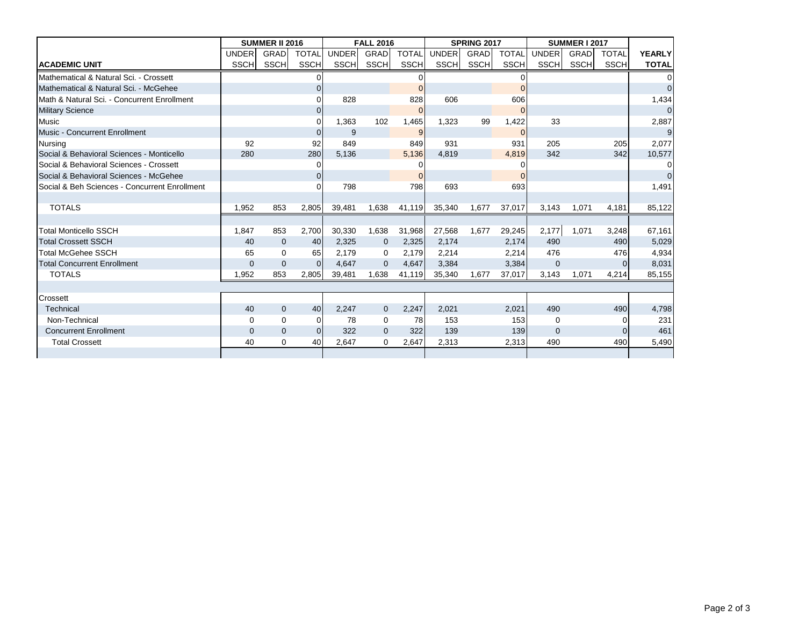|                                               | <b>SUMMER II 2016</b> |              |                | <b>FALL 2016</b> |              |              | <b>SPRING 2017</b> |             |              | <b>SUMMER I 2017</b> |             |             |                |
|-----------------------------------------------|-----------------------|--------------|----------------|------------------|--------------|--------------|--------------------|-------------|--------------|----------------------|-------------|-------------|----------------|
|                                               | <b>UNDER</b>          | <b>GRAD</b>  | <b>TOTAL</b>   | <b>UNDER</b>     | GRAD         | <b>TOTAL</b> | UNDER              | <b>GRAD</b> | <b>TOTAL</b> | <b>UNDER</b>         | <b>GRAD</b> | TOTAL       | <b>YEARLY</b>  |
| <b>ACADEMIC UNIT</b>                          | SSCHI                 | SSCH         | <b>SSCH</b>    | <b>SSCHI</b>     | SSCH         | <b>SSCH</b>  | <b>SSCH</b>        | <b>SSCH</b> | <b>SSCH</b>  | SSCH                 | SSCH        | <b>SSCH</b> | <b>TOTAL</b>   |
| Mathematical & Natural Sci. - Crossett        |                       |              |                |                  |              |              |                    |             |              |                      |             |             | $\overline{0}$ |
| Mathematical & Natural Sci. - McGehee         |                       |              | $\overline{0}$ |                  |              |              |                    |             | $\Omega$     |                      |             |             | $\mathbf 0$    |
| Math & Natural Sci. - Concurrent Enrollment   |                       |              | $\Omega$       | 828              |              | 828          | 606                |             | 606          |                      |             |             | 1,434          |
| <b>Military Science</b>                       |                       |              | 0              |                  |              |              |                    |             | $\Omega$     |                      |             |             | $\overline{0}$ |
| <b>Music</b>                                  |                       |              | $\Omega$       | 1,363            | 102          | 1,465        | 1.323              | 99          | 1,422        | 33                   |             |             | 2,887          |
| <b>Music - Concurrent Enrollment</b>          |                       |              | $\Omega$       | 9                |              | 9            |                    |             | $\Omega$     |                      |             |             | 9              |
| <b>Nursing</b>                                | 92                    |              | 92             | 849              |              | 849          | 931                |             | 931          | 205                  |             | 205         | 2,077          |
| Social & Behavioral Sciences - Monticello     | 280                   |              | 280            | 5.136            |              | 5,136        | 4.819              |             | 4,819        | 342                  |             | 342         | 10,577         |
| Social & Behavioral Sciences - Crossett       |                       |              | $\overline{0}$ |                  |              |              |                    |             | 0            |                      |             |             | $\overline{0}$ |
| Social & Behavioral Sciences - McGehee        |                       |              | $\overline{0}$ |                  |              |              |                    |             | $\Omega$     |                      |             |             | $\overline{0}$ |
| Social & Beh Sciences - Concurrent Enrollment |                       |              | $\Omega$       | 798              |              | 798          | 693                |             | 693          |                      |             |             | 1,491          |
|                                               |                       |              |                |                  |              |              |                    |             |              |                      |             |             |                |
| <b>TOTALS</b>                                 | 1,952                 | 853          | 2,805          | 39,481           | 1,638        | 41,119       | 35,340             | 1,677       | 37,017       | 3,143                | 1,071       | 4,181       | 85,122         |
|                                               |                       |              |                |                  |              |              |                    |             |              |                      |             |             |                |
| <b>Total Monticello SSCH</b>                  | 1.847                 | 853          | 2.700          | 30,330           | 1.638        | 31,968       | 27,568             | 1.677       | 29,245       | 2,177                | 1,071       | 3,248       | 67,161         |
| <b>Total Crossett SSCH</b>                    | 40                    | $\mathbf{0}$ | 40             | 2,325            | $\mathbf{0}$ | 2,325        | 2,174              |             | 2,174        | 490                  |             | 490         | 5,029          |
| Total McGehee SSCH                            | 65                    | $\Omega$     | 65             | 2,179            | 0            | 2,179        | 2,214              |             | 2,214        | 476                  |             | 476         | 4,934          |
| <b>Total Concurrent Enrollment</b>            | $\Omega$              | $\Omega$     | $\Omega$       | 4.647            | $\mathbf{0}$ | 4.647        | 3.384              |             | 3.384        | $\mathbf{0}$         |             |             | 8,031          |
| <b>TOTALS</b>                                 | 1,952                 | 853          | 2,805          | 39,481           | 1,638        | 41,119       | 35,340             | 1,677       | 37,017       | 3,143                | 1,071       | 4,214       | 85,155         |
|                                               |                       |              |                |                  |              |              |                    |             |              |                      |             |             |                |
| Crossett                                      |                       |              |                |                  |              |              |                    |             |              |                      |             |             |                |
| Technical                                     | 40                    | $\Omega$     | 40             | 2,247            | $\mathbf{0}$ | 2,247        | 2,021              |             | 2,021        | 490                  |             | 490         | 4,798          |
| Non-Technical                                 | $\Omega$              | $\Omega$     | $\Omega$       | 78               | $\mathbf 0$  | 78           | 153                |             | 153          | $\mathbf 0$          |             |             | 231            |
| <b>Concurrent Enrollment</b>                  | $\mathbf{0}$          | $\mathbf{0}$ | $\Omega$       | 322              | $\mathbf{0}$ | 322          | 139                |             | 139          | $\mathbf{0}$         |             | $\Omega$    | 461            |
| <b>Total Crossett</b>                         | 40                    | 0            | 40             | 2.647            | 0            | 2,647        | 2,313              |             | 2,313        | 490                  |             | 490         | 5,490          |
|                                               |                       |              |                |                  |              |              |                    |             |              |                      |             |             |                |